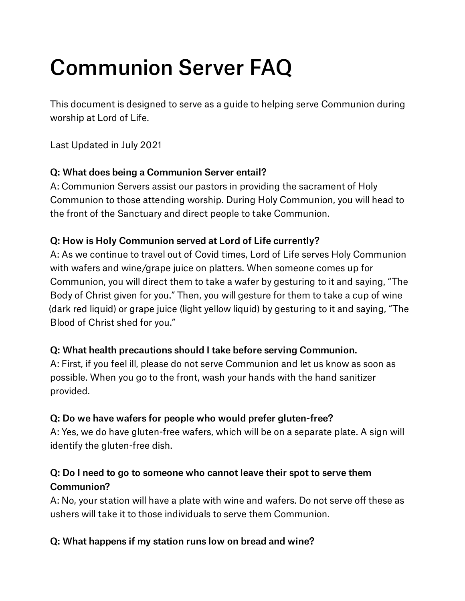# Communion Server FAQ

This document is designed to serve as a guide to helping serve Communion during worship at Lord of Life.

Last Updated in July 2021

# Q: What does being a Communion Server entail?

A: Communion Servers assist our pastors in providing the sacrament of Holy Communion to those attending worship. During Holy Communion, you will head to the front of the Sanctuary and direct people to take Communion.

## Q: How is Holy Communion served at Lord of Life currently?

A: As we continue to travel out of Covid times, Lord of Life serves Holy Communion with wafers and wine/grape juice on platters. When someone comes up for Communion, you will direct them to take a wafer by gesturing to it and saying, "The Body of Christ given for you." Then, you will gesture for them to take a cup of wine (dark red liquid) or grape juice (light yellow liquid) by gesturing to it and saying, "The Blood of Christ shed for you."

## Q: What health precautions should I take before serving Communion.

A: First, if you feel ill, please do not serve Communion and let us know as soon as possible. When you go to the front, wash your hands with the hand sanitizer provided.

# Q: Do we have wafers for people who would prefer gluten-free?

A: Yes, we do have gluten-free wafers, which will be on a separate plate. A sign will identify the gluten-free dish.

# Q: Do I need to go to someone who cannot leave their spot to serve them Communion?

A: No, your station will have a plate with wine and wafers. Do not serve off these as ushers will take it to those individuals to serve them Communion.

## Q: What happens if my station runs low on bread and wine?